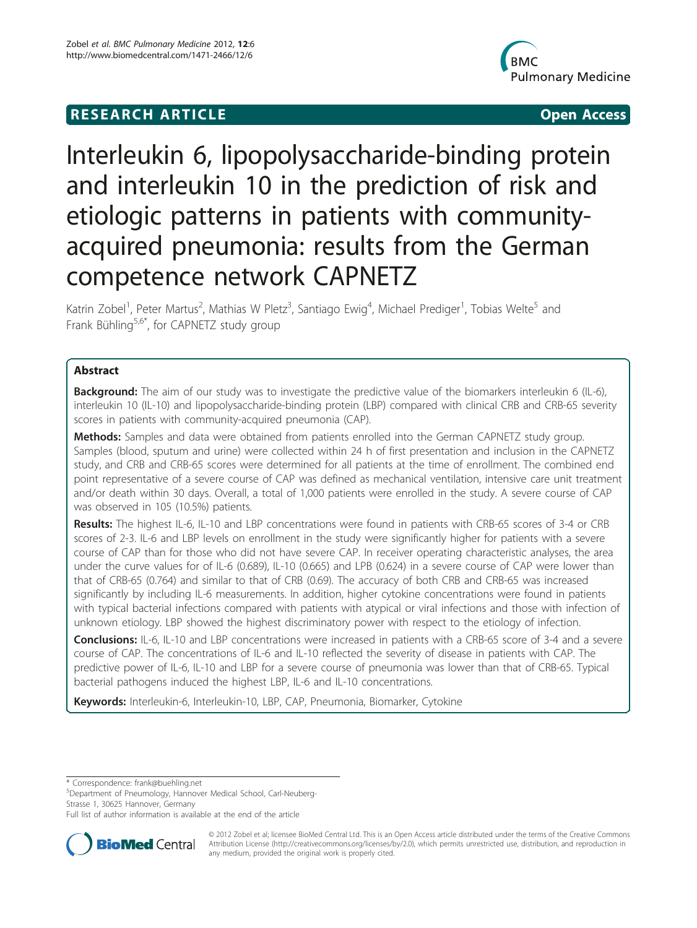# **RESEARCH ARTICLE Example 2018 12:00 Open Access**



# Interleukin 6, lipopolysaccharide-binding protein and interleukin 10 in the prediction of risk and etiologic patterns in patients with communityacquired pneumonia: results from the German competence network CAPNETZ

Katrin Zobel<sup>1</sup>, Peter Martus<sup>2</sup>, Mathias W Pletz<sup>3</sup>, Santiago Ewig<sup>4</sup>, Michael Prediger<sup>1</sup>, Tobias Welte<sup>5</sup> and Frank Bühling<sup>5,6\*</sup>, for CAPNETZ study group

# Abstract

**Background:** The aim of our study was to investigate the predictive value of the biomarkers interleukin 6 (IL-6), interleukin 10 (IL-10) and lipopolysaccharide-binding protein (LBP) compared with clinical CRB and CRB-65 severity scores in patients with community-acquired pneumonia (CAP).

Methods: Samples and data were obtained from patients enrolled into the German CAPNETZ study group. Samples (blood, sputum and urine) were collected within 24 h of first presentation and inclusion in the CAPNETZ study, and CRB and CRB-65 scores were determined for all patients at the time of enrollment. The combined end point representative of a severe course of CAP was defined as mechanical ventilation, intensive care unit treatment and/or death within 30 days. Overall, a total of 1,000 patients were enrolled in the study. A severe course of CAP was observed in 105 (10.5%) patients.

Results: The highest IL-6, IL-10 and LBP concentrations were found in patients with CRB-65 scores of 3-4 or CRB scores of 2-3. IL-6 and LBP levels on enrollment in the study were significantly higher for patients with a severe course of CAP than for those who did not have severe CAP. In receiver operating characteristic analyses, the area under the curve values for of IL-6 (0.689), IL-10 (0.665) and LPB (0.624) in a severe course of CAP were lower than that of CRB-65 (0.764) and similar to that of CRB (0.69). The accuracy of both CRB and CRB-65 was increased significantly by including IL-6 measurements. In addition, higher cytokine concentrations were found in patients with typical bacterial infections compared with patients with atypical or viral infections and those with infection of unknown etiology. LBP showed the highest discriminatory power with respect to the etiology of infection.

Conclusions: IL-6, IL-10 and LBP concentrations were increased in patients with a CRB-65 score of 3-4 and a severe course of CAP. The concentrations of IL-6 and IL-10 reflected the severity of disease in patients with CAP. The predictive power of IL-6, IL-10 and LBP for a severe course of pneumonia was lower than that of CRB-65. Typical bacterial pathogens induced the highest LBP, IL-6 and IL-10 concentrations.

Keywords: Interleukin-6, Interleukin-10, LBP, CAP, Pneumonia, Biomarker, Cytokine

\* Correspondence: [frank@buehling.net](mailto:frank@buehling.net)

5 Department of Pneumology, Hannover Medical School, Carl-Neuberg-Strasse 1, 30625 Hannover, Germany

Full list of author information is available at the end of the article



© 2012 Zobel et al; licensee BioMed Central Ltd. This is an Open Access article distributed under the terms of the Creative Commons Attribution License [\(http://creativecommons.org/licenses/by/2.0](http://creativecommons.org/licenses/by/2.0)), which permits unrestricted use, distribution, and reproduction in any medium, provided the original work is properly cited.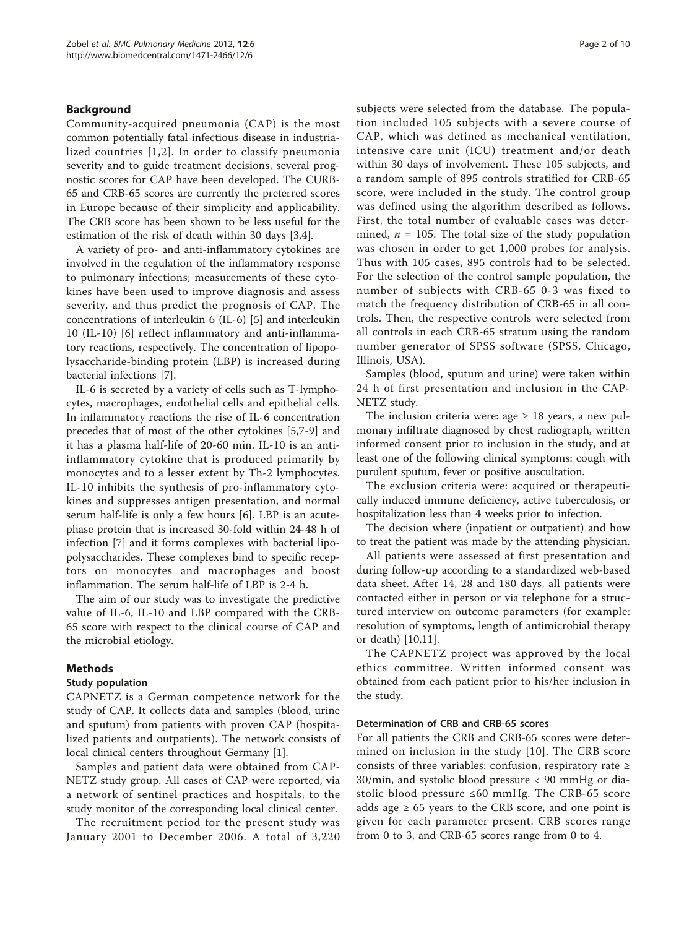# Background

Community-acquired pneumonia (CAP) is the most common potentially fatal infectious disease in industrialized countries [[1](#page-8-0),[2\]](#page-8-0). In order to classify pneumonia severity and to guide treatment decisions, several prognostic scores for CAP have been developed. The CURB-65 and CRB-65 scores are currently the preferred scores in Europe because of their simplicity and applicability. The CRB score has been shown to be less useful for the estimation of the risk of death within 30 days [[3,4\]](#page-8-0).

A variety of pro- and anti-inflammatory cytokines are involved in the regulation of the inflammatory response to pulmonary infections; measurements of these cytokines have been used to improve diagnosis and assess severity, and thus predict the prognosis of CAP. The concentrations of interleukin 6 (IL-6) [[5\]](#page-8-0) and interleukin 10 (IL-10) [[6\]](#page-8-0) reflect inflammatory and anti-inflammatory reactions, respectively. The concentration of lipopolysaccharide-binding protein (LBP) is increased during bacterial infections [\[7](#page-8-0)].

IL-6 is secreted by a variety of cells such as T-lymphocytes, macrophages, endothelial cells and epithelial cells. In inflammatory reactions the rise of IL-6 concentration precedes that of most of the other cytokines [\[5,7](#page-8-0)-[9\]](#page-8-0) and it has a plasma half-life of 20-60 min. IL-10 is an antiinflammatory cytokine that is produced primarily by monocytes and to a lesser extent by Th-2 lymphocytes. IL-10 inhibits the synthesis of pro-inflammatory cytokines and suppresses antigen presentation, and normal serum half-life is only a few hours [[6](#page-8-0)]. LBP is an acutephase protein that is increased 30-fold within 24-48 h of infection [\[7](#page-8-0)] and it forms complexes with bacterial lipopolysaccharides. These complexes bind to specific receptors on monocytes and macrophages and boost inflammation. The serum half-life of LBP is 2-4 h.

The aim of our study was to investigate the predictive value of IL-6, IL-10 and LBP compared with the CRB-65 score with respect to the clinical course of CAP and the microbial etiology.

# Methods

# Study population

CAPNETZ is a German competence network for the study of CAP. It collects data and samples (blood, urine and sputum) from patients with proven CAP (hospitalized patients and outpatients). The network consists of local clinical centers throughout Germany [\[1](#page-8-0)].

Samples and patient data were obtained from CAP-NETZ study group. All cases of CAP were reported, via a network of sentinel practices and hospitals, to the study monitor of the corresponding local clinical center.

The recruitment period for the present study was January 2001 to December 2006. A total of 3,220 subjects were selected from the database. The population included 105 subjects with a severe course of CAP, which was defined as mechanical ventilation, intensive care unit (ICU) treatment and/or death within 30 days of involvement. These 105 subjects, and a random sample of 895 controls stratified for CRB-65 score, were included in the study. The control group was defined using the algorithm described as follows. First, the total number of evaluable cases was determined,  $n = 105$ . The total size of the study population was chosen in order to get 1,000 probes for analysis. Thus with 105 cases, 895 controls had to be selected. For the selection of the control sample population, the number of subjects with CRB-65 0-3 was fixed to match the frequency distribution of CRB-65 in all controls. Then, the respective controls were selected from all controls in each CRB-65 stratum using the random number generator of SPSS software (SPSS, Chicago, Illinois, USA).

Samples (blood, sputum and urine) were taken within 24 h of first presentation and inclusion in the CAP-NETZ study.

The inclusion criteria were: age  $\geq 18$  years, a new pulmonary infiltrate diagnosed by chest radiograph, written informed consent prior to inclusion in the study, and at least one of the following clinical symptoms: cough with purulent sputum, fever or positive auscultation.

The exclusion criteria were: acquired or therapeutically induced immune deficiency, active tuberculosis, or hospitalization less than 4 weeks prior to infection.

The decision where (inpatient or outpatient) and how to treat the patient was made by the attending physician.

All patients were assessed at first presentation and during follow-up according to a standardized web-based data sheet. After 14, 28 and 180 days, all patients were contacted either in person or via telephone for a structured interview on outcome parameters (for example: resolution of symptoms, length of antimicrobial therapy or death) [[10](#page-8-0),[11](#page-8-0)].

The CAPNETZ project was approved by the local ethics committee. Written informed consent was obtained from each patient prior to his/her inclusion in the study.

# Determination of CRB and CRB-65 scores

For all patients the CRB and CRB-65 scores were determined on inclusion in the study [[10](#page-8-0)]. The CRB score consists of three variables: confusion, respiratory rate  $\geq$ 30/min, and systolic blood pressure < 90 mmHg or diastolic blood pressure ≤60 mmHg. The CRB-65 score adds age  $\geq 65$  years to the CRB score, and one point is given for each parameter present. CRB scores range from 0 to 3, and CRB-65 scores range from 0 to 4.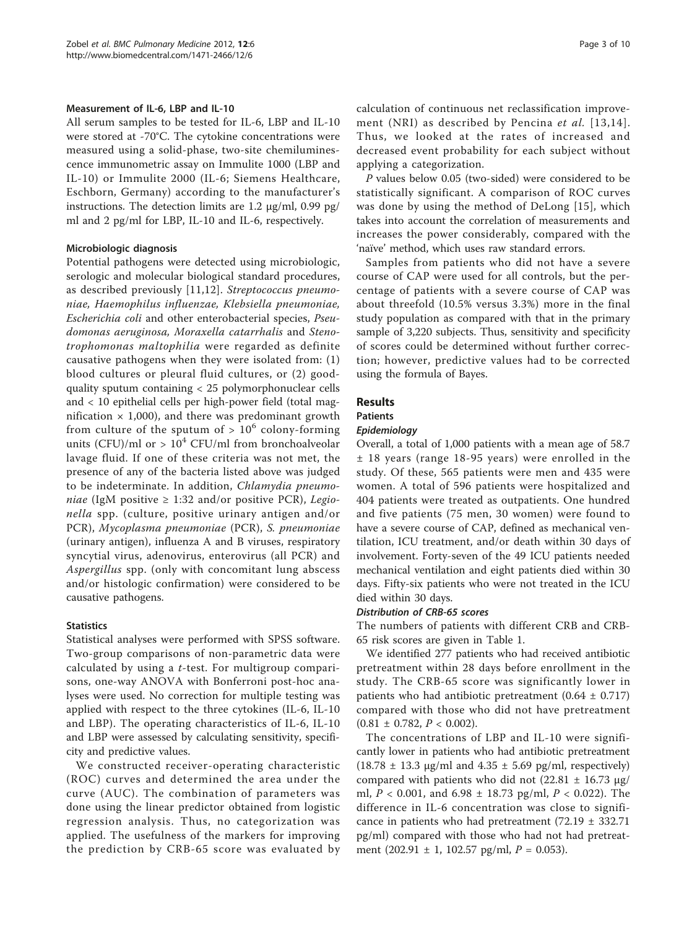# Measurement of IL-6, LBP and IL-10

All serum samples to be tested for IL-6, LBP and IL-10 were stored at -70°C. The cytokine concentrations were measured using a solid-phase, two-site chemiluminescence immunometric assay on Immulite 1000 (LBP and IL-10) or Immulite 2000 (IL-6; Siemens Healthcare, Eschborn, Germany) according to the manufacturer's instructions. The detection limits are 1.2 μg/ml, 0.99 pg/ ml and 2 pg/ml for LBP, IL-10 and IL-6, respectively.

# Microbiologic diagnosis

Potential pathogens were detected using microbiologic, serologic and molecular biological standard procedures, as described previously [\[11](#page-8-0),[12\]](#page-8-0). Streptococcus pneumoniae, Haemophilus influenzae, Klebsiella pneumoniae, Escherichia coli and other enterobacterial species, Pseudomonas aeruginosa, Moraxella catarrhalis and Stenotrophomonas maltophilia were regarded as definite causative pathogens when they were isolated from: (1) blood cultures or pleural fluid cultures, or (2) goodquality sputum containing < 25 polymorphonuclear cells and < 10 epithelial cells per high-power field (total magnification  $\times$  1,000), and there was predominant growth from culture of the sputum of  $> 10^6$  colony-forming units (CFU)/ml or  $> 10^4$  CFU/ml from bronchoalveolar lavage fluid. If one of these criteria was not met, the presence of any of the bacteria listed above was judged to be indeterminate. In addition, Chlamydia pneumo*niae* (IgM positive  $\geq$  1:32 and/or positive PCR), Legionella spp. (culture, positive urinary antigen and/or PCR), Mycoplasma pneumoniae (PCR), S. pneumoniae (urinary antigen), influenza A and B viruses, respiratory syncytial virus, adenovirus, enterovirus (all PCR) and Aspergillus spp. (only with concomitant lung abscess and/or histologic confirmation) were considered to be causative pathogens.

# **Statistics**

Statistical analyses were performed with SPSS software. Two-group comparisons of non-parametric data were calculated by using a t-test. For multigroup comparisons, one-way ANOVA with Bonferroni post-hoc analyses were used. No correction for multiple testing was applied with respect to the three cytokines (IL-6, IL-10 and LBP). The operating characteristics of IL-6, IL-10 and LBP were assessed by calculating sensitivity, specificity and predictive values.

We constructed receiver-operating characteristic (ROC) curves and determined the area under the curve (AUC). The combination of parameters was done using the linear predictor obtained from logistic regression analysis. Thus, no categorization was applied. The usefulness of the markers for improving the prediction by CRB-65 score was evaluated by calculation of continuous net reclassification improve-ment (NRI) as described by Pencina et al. [[13](#page-8-0),[14\]](#page-8-0). Thus, we looked at the rates of increased and decreased event probability for each subject without applying a categorization.

P values below 0.05 (two-sided) were considered to be statistically significant. A comparison of ROC curves was done by using the method of DeLong [[15](#page-8-0)], which takes into account the correlation of measurements and increases the power considerably, compared with the 'naïve' method, which uses raw standard errors.

Samples from patients who did not have a severe course of CAP were used for all controls, but the percentage of patients with a severe course of CAP was about threefold (10.5% versus 3.3%) more in the final study population as compared with that in the primary sample of 3,220 subjects. Thus, sensitivity and specificity of scores could be determined without further correction; however, predictive values had to be corrected using the formula of Bayes.

# Results

# Patients

# Epidemiology

Overall, a total of 1,000 patients with a mean age of 58.7 ± 18 years (range 18-95 years) were enrolled in the study. Of these, 565 patients were men and 435 were women. A total of 596 patients were hospitalized and 404 patients were treated as outpatients. One hundred and five patients (75 men, 30 women) were found to have a severe course of CAP, defined as mechanical ventilation, ICU treatment, and/or death within 30 days of involvement. Forty-seven of the 49 ICU patients needed mechanical ventilation and eight patients died within 30 days. Fifty-six patients who were not treated in the ICU died within 30 days.

# Distribution of CRB-65 scores

The numbers of patients with different CRB and CRB-65 risk scores are given in Table [1.](#page-3-0)

We identified 277 patients who had received antibiotic pretreatment within 28 days before enrollment in the study. The CRB-65 score was significantly lower in patients who had antibiotic pretreatment  $(0.64 \pm 0.717)$ compared with those who did not have pretreatment  $(0.81 \pm 0.782, P < 0.002).$ 

The concentrations of LBP and IL-10 were significantly lower in patients who had antibiotic pretreatment  $(18.78 \pm 13.3 \,\mu$ g/ml and  $4.35 \pm 5.69 \,\text{pg/ml}$ , respectively) compared with patients who did not  $(22.81 \pm 16.73 \text{ μg}/$ ml,  $P < 0.001$ , and  $6.98 \pm 18.73$  pg/ml,  $P < 0.022$ ). The difference in IL-6 concentration was close to significance in patients who had pretreatment  $(72.19 \pm 332.71)$ pg/ml) compared with those who had not had pretreatment (202.91  $\pm$  1, 102.57 pg/ml,  $P = 0.053$ ).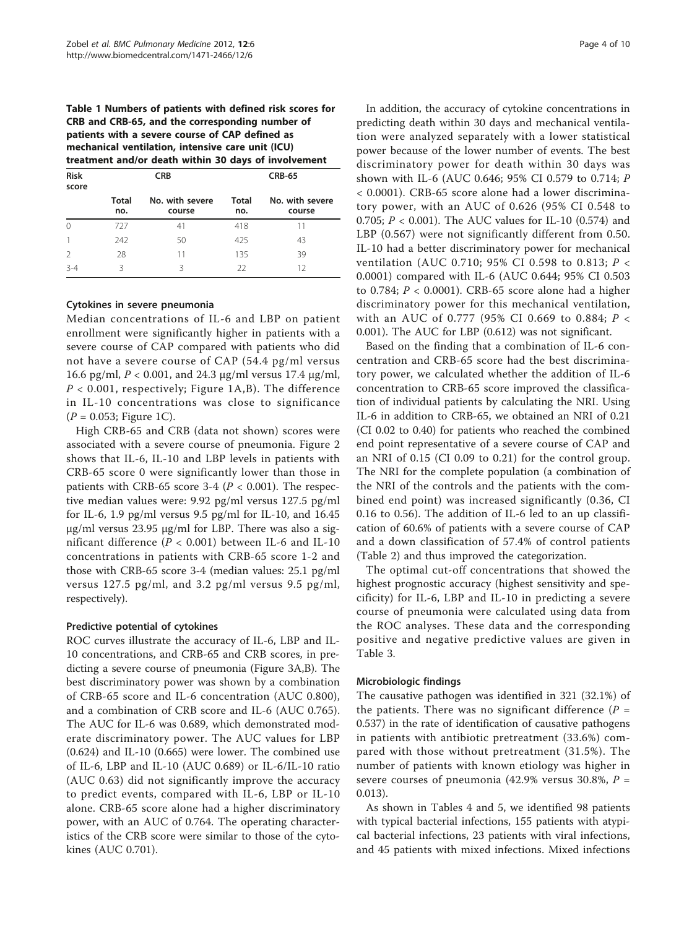<span id="page-3-0"></span>Table 1 Numbers of patients with defined risk scores for CRB and CRB-65, and the corresponding number of patients with a severe course of CAP defined as mechanical ventilation, intensive care unit (ICU) treatment and/or death within 30 days of involvement

| <b>Risk</b><br>score | <b>CRB</b>          |                           | <b>CRB-65</b> |                           |  |
|----------------------|---------------------|---------------------------|---------------|---------------------------|--|
|                      | <b>Total</b><br>no. | No. with severe<br>course | Total<br>no.  | No. with severe<br>course |  |
| $\Omega$             | 727                 | 41                        | 418           | 11                        |  |
|                      | 242                 | 50                        | 425           | 43                        |  |
| $\mathcal{P}$        | 28                  | 11                        | 135           | 39                        |  |
| $3 - 4$              | ζ                   | ζ                         | 22            | 12                        |  |

## Cytokines in severe pneumonia

Median concentrations of IL-6 and LBP on patient enrollment were significantly higher in patients with a severe course of CAP compared with patients who did not have a severe course of CAP (54.4 pg/ml versus 16.6 pg/ml, P < 0.001, and 24.3 μg/ml versus 17.4 μg/ml,  $P < 0.001$ , respectively; Figure [1A,B](#page-4-0)). The difference in IL-10 concentrations was close to significance  $(P = 0.053;$  Figure [1C\)](#page-4-0).

High CRB-65 and CRB (data not shown) scores were associated with a severe course of pneumonia. Figure [2](#page-5-0) shows that IL-6, IL-10 and LBP levels in patients with CRB-65 score 0 were significantly lower than those in patients with CRB-65 score 3-4 ( $P < 0.001$ ). The respective median values were: 9.92 pg/ml versus 127.5 pg/ml for IL-6, 1.9 pg/ml versus 9.5 pg/ml for IL-10, and  $16.45$ μg/ml versus 23.95 μg/ml for LBP. There was also a significant difference ( $P < 0.001$ ) between IL-6 and IL-10 concentrations in patients with CRB-65 score 1-2 and those with CRB-65 score 3-4 (median values: 25.1 pg/ml versus 127.5 pg/ml, and 3.2 pg/ml versus 9.5 pg/ml, respectively).

# Predictive potential of cytokines

ROC curves illustrate the accuracy of IL-6, LBP and IL-10 concentrations, and CRB-65 and CRB scores, in predicting a severe course of pneumonia (Figure [3A,B\)](#page-5-0). The best discriminatory power was shown by a combination of CRB-65 score and IL-6 concentration (AUC 0.800), and a combination of CRB score and IL-6 (AUC 0.765). The AUC for IL-6 was 0.689, which demonstrated moderate discriminatory power. The AUC values for LBP (0.624) and IL-10 (0.665) were lower. The combined use of IL-6, LBP and IL-10 (AUC 0.689) or IL-6/IL-10 ratio (AUC 0.63) did not significantly improve the accuracy to predict events, compared with IL-6, LBP or IL-10 alone. CRB-65 score alone had a higher discriminatory power, with an AUC of 0.764. The operating characteristics of the CRB score were similar to those of the cytokines (AUC 0.701).

In addition, the accuracy of cytokine concentrations in predicting death within 30 days and mechanical ventilation were analyzed separately with a lower statistical power because of the lower number of events. The best discriminatory power for death within 30 days was shown with IL-6 (AUC 0.646; 95% CI 0.579 to 0.714; P < 0.0001). CRB-65 score alone had a lower discriminatory power, with an AUC of 0.626 (95% CI 0.548 to 0.705;  $P < 0.001$ ). The AUC values for IL-10 (0.574) and LBP (0.567) were not significantly different from 0.50. IL-10 had a better discriminatory power for mechanical ventilation (AUC 0.710; 95% CI 0.598 to 0.813; P < 0.0001) compared with IL-6 (AUC 0.644; 95% CI 0.503 to 0.784;  $P < 0.0001$ ). CRB-65 score alone had a higher discriminatory power for this mechanical ventilation, with an AUC of 0.777 (95% CI 0.669 to 0.884; P < 0.001). The AUC for LBP (0.612) was not significant.

Based on the finding that a combination of IL-6 concentration and CRB-65 score had the best discriminatory power, we calculated whether the addition of IL-6 concentration to CRB-65 score improved the classification of individual patients by calculating the NRI. Using IL-6 in addition to CRB-65, we obtained an NRI of 0.21 (CI 0.02 to 0.40) for patients who reached the combined end point representative of a severe course of CAP and an NRI of 0.15 (CI 0.09 to 0.21) for the control group. The NRI for the complete population (a combination of the NRI of the controls and the patients with the combined end point) was increased significantly (0.36, CI 0.16 to 0.56). The addition of IL-6 led to an up classification of 60.6% of patients with a severe course of CAP and a down classification of 57.4% of control patients (Table [2\)](#page-6-0) and thus improved the categorization.

The optimal cut-off concentrations that showed the highest prognostic accuracy (highest sensitivity and specificity) for IL-6, LBP and IL-10 in predicting a severe course of pneumonia were calculated using data from the ROC analyses. These data and the corresponding positive and negative predictive values are given in Table [3.](#page-6-0)

# Microbiologic findings

The causative pathogen was identified in 321 (32.1%) of the patients. There was no significant difference ( $P =$ 0.537) in the rate of identification of causative pathogens in patients with antibiotic pretreatment (33.6%) compared with those without pretreatment (31.5%). The number of patients with known etiology was higher in severe courses of pneumonia (42.9% versus 30.8%,  $P =$ 0.013).

As shown in Tables [4](#page-6-0) and [5](#page-6-0), we identified 98 patients with typical bacterial infections, 155 patients with atypical bacterial infections, 23 patients with viral infections, and 45 patients with mixed infections. Mixed infections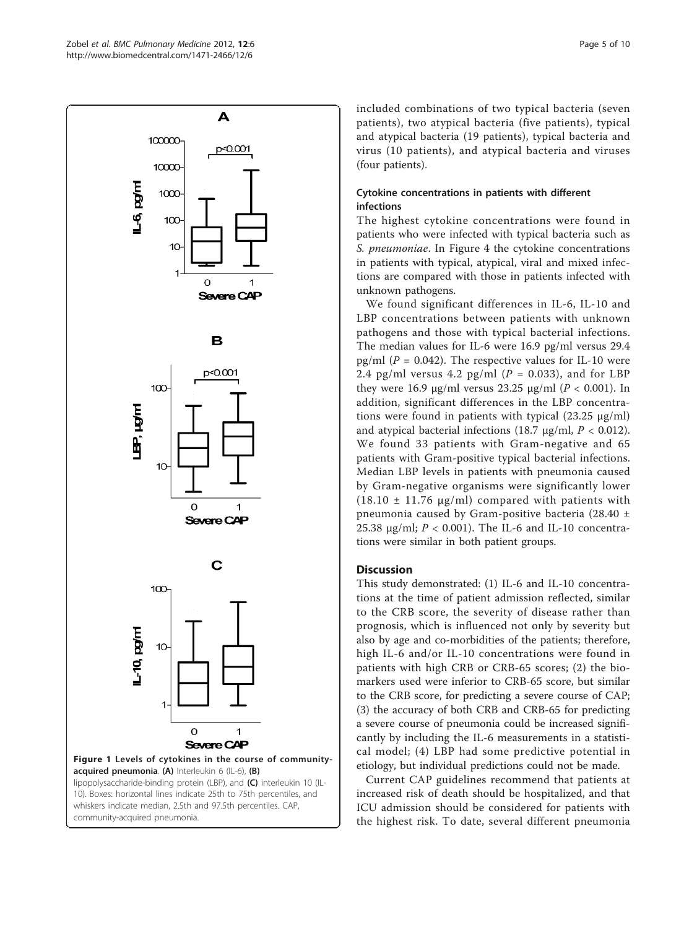<span id="page-4-0"></span>

community-acquired pneumonia.

included combinations of two typical bacteria (seven patients), two atypical bacteria (five patients), typical and atypical bacteria (19 patients), typical bacteria and virus (10 patients), and atypical bacteria and viruses (four patients).

# Cytokine concentrations in patients with different infections

The highest cytokine concentrations were found in patients who were infected with typical bacteria such as S. pneumoniae. In Figure [4](#page-7-0) the cytokine concentrations in patients with typical, atypical, viral and mixed infections are compared with those in patients infected with unknown pathogens.

We found significant differences in IL-6, IL-10 and LBP concentrations between patients with unknown pathogens and those with typical bacterial infections. The median values for IL-6 were 16.9 pg/ml versus 29.4 pg/ml ( $P = 0.042$ ). The respective values for IL-10 were 2.4 pg/ml versus 4.2 pg/ml ( $P = 0.033$ ), and for LBP they were 16.9 μg/ml versus 23.25 μg/ml ( $P < 0.001$ ). In addition, significant differences in the LBP concentrations were found in patients with typical (23.25 μg/ml) and atypical bacterial infections (18.7  $\mu$ g/ml,  $P < 0.012$ ). We found 33 patients with Gram-negative and 65 patients with Gram-positive typical bacterial infections. Median LBP levels in patients with pneumonia caused by Gram-negative organisms were significantly lower  $(18.10 \pm 11.76 \text{ µg/ml})$  compared with patients with pneumonia caused by Gram-positive bacteria (28.40 ± 25.38  $\mu$ g/ml;  $P < 0.001$ ). The IL-6 and IL-10 concentrations were similar in both patient groups.

# **Discussion**

This study demonstrated: (1) IL-6 and IL-10 concentrations at the time of patient admission reflected, similar to the CRB score, the severity of disease rather than prognosis, which is influenced not only by severity but also by age and co-morbidities of the patients; therefore, high IL-6 and/or IL-10 concentrations were found in patients with high CRB or CRB-65 scores; (2) the biomarkers used were inferior to CRB-65 score, but similar to the CRB score, for predicting a severe course of CAP; (3) the accuracy of both CRB and CRB-65 for predicting a severe course of pneumonia could be increased significantly by including the IL-6 measurements in a statistical model; (4) LBP had some predictive potential in etiology, but individual predictions could not be made.

Current CAP guidelines recommend that patients at increased risk of death should be hospitalized, and that ICU admission should be considered for patients with the highest risk. To date, several different pneumonia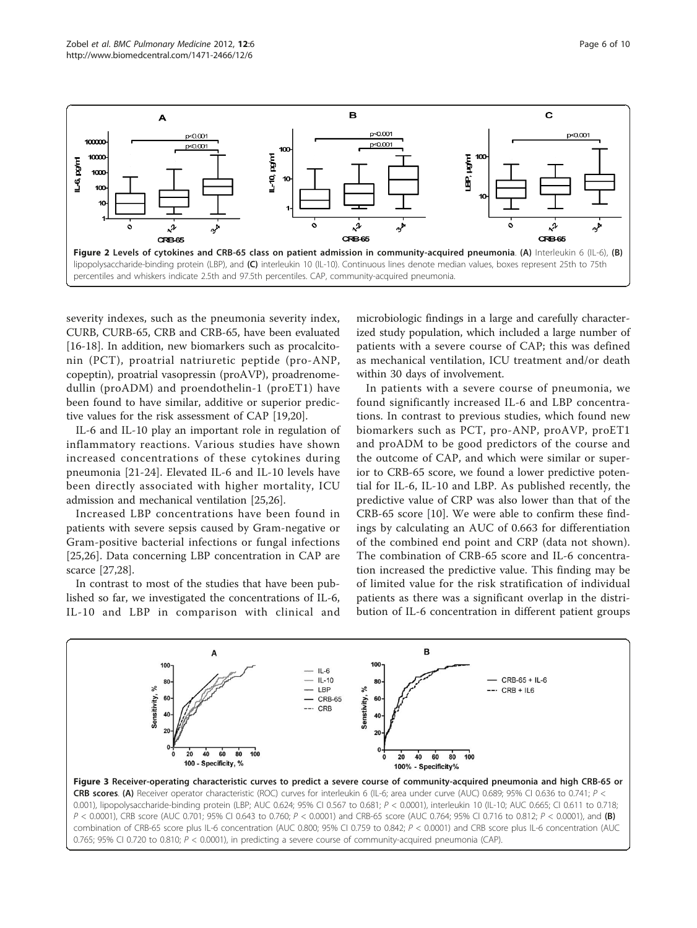<span id="page-5-0"></span>

severity indexes, such as the pneumonia severity index, CURB, CURB-65, CRB and CRB-65, have been evaluated [[16-18](#page-8-0)]. In addition, new biomarkers such as procalcitonin (PCT), proatrial natriuretic peptide (pro-ANP, copeptin), proatrial vasopressin (proAVP), proadrenomedullin (proADM) and proendothelin-1 (proET1) have been found to have similar, additive or superior predictive values for the risk assessment of CAP [\[19](#page-8-0)[,20\]](#page-9-0).

IL-6 and IL-10 play an important role in regulation of inflammatory reactions. Various studies have shown increased concentrations of these cytokines during pneumonia [[21-24](#page-9-0)]. Elevated IL-6 and IL-10 levels have been directly associated with higher mortality, ICU admission and mechanical ventilation [\[25,26](#page-9-0)].

Increased LBP concentrations have been found in patients with severe sepsis caused by Gram-negative or Gram-positive bacterial infections or fungal infections [[25,26\]](#page-9-0). Data concerning LBP concentration in CAP are scarce [\[27,28\]](#page-9-0).

In contrast to most of the studies that have been published so far, we investigated the concentrations of IL-6, IL-10 and LBP in comparison with clinical and

microbiologic findings in a large and carefully characterized study population, which included a large number of patients with a severe course of CAP; this was defined as mechanical ventilation, ICU treatment and/or death within 30 days of involvement.

In patients with a severe course of pneumonia, we found significantly increased IL-6 and LBP concentrations. In contrast to previous studies, which found new biomarkers such as PCT, pro-ANP, proAVP, proET1 and proADM to be good predictors of the course and the outcome of CAP, and which were similar or superior to CRB-65 score, we found a lower predictive potential for IL-6, IL-10 and LBP. As published recently, the predictive value of CRP was also lower than that of the CRB-65 score [\[10\]](#page-8-0). We were able to confirm these findings by calculating an AUC of 0.663 for differentiation of the combined end point and CRP (data not shown). The combination of CRB-65 score and IL-6 concentration increased the predictive value. This finding may be of limited value for the risk stratification of individual patients as there was a significant overlap in the distribution of IL-6 concentration in different patient groups



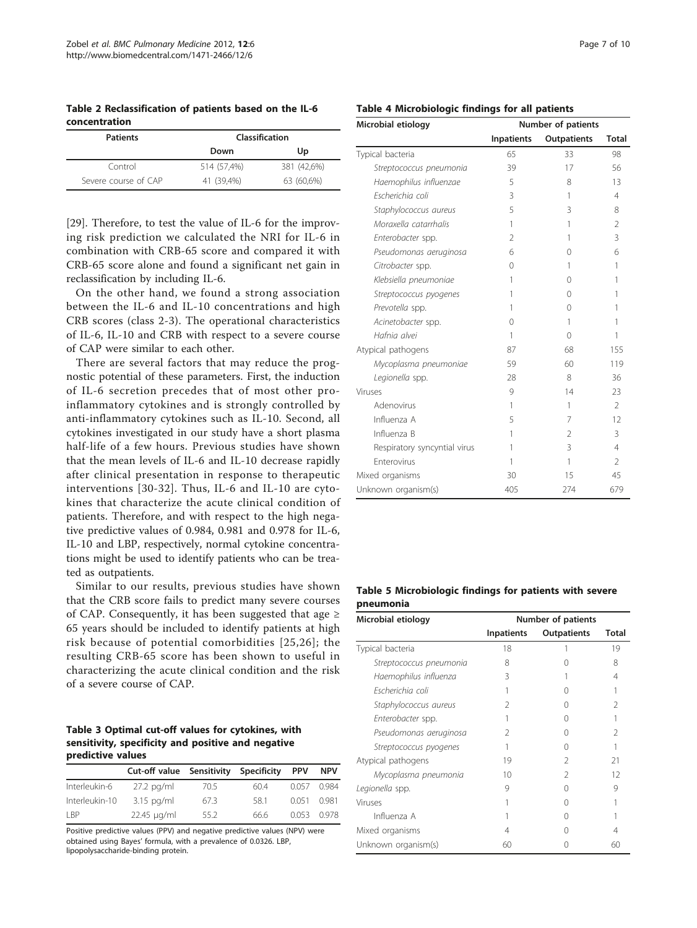<span id="page-6-0"></span>Table 2 Reclassification of patients based on the IL-6 concentration

| <b>Patients</b>      | Classification |             |  |  |
|----------------------|----------------|-------------|--|--|
|                      | Down           | Up          |  |  |
| Control              | 514 (57.4%)    | 381 (42.6%) |  |  |
| Severe course of CAP | 41 (39.4%)     | 63 (60,6%)  |  |  |

[[29\]](#page-9-0). Therefore, to test the value of IL-6 for the improving risk prediction we calculated the NRI for IL-6 in combination with CRB-65 score and compared it with CRB-65 score alone and found a significant net gain in reclassification by including IL-6.

On the other hand, we found a strong association between the IL-6 and IL-10 concentrations and high CRB scores (class 2-3). The operational characteristics of IL-6, IL-10 and CRB with respect to a severe course of CAP were similar to each other.

There are several factors that may reduce the prognostic potential of these parameters. First, the induction of IL-6 secretion precedes that of most other proinflammatory cytokines and is strongly controlled by anti-inflammatory cytokines such as IL-10. Second, all cytokines investigated in our study have a short plasma half-life of a few hours. Previous studies have shown that the mean levels of IL-6 and IL-10 decrease rapidly after clinical presentation in response to therapeutic interventions [[30](#page-9-0)-[32\]](#page-9-0). Thus, IL-6 and IL-10 are cytokines that characterize the acute clinical condition of patients. Therefore, and with respect to the high negative predictive values of 0.984, 0.981 and 0.978 for IL-6, IL-10 and LBP, respectively, normal cytokine concentrations might be used to identify patients who can be treated as outpatients.

Similar to our results, previous studies have shown that the CRB score fails to predict many severe courses of CAP. Consequently, it has been suggested that age  $\geq$ 65 years should be included to identify patients at high risk because of potential comorbidities [[25](#page-9-0),[26\]](#page-9-0); the resulting CRB-65 score has been shown to useful in characterizing the acute clinical condition and the risk of a severe course of CAP.

# Table 3 Optimal cut-off values for cytokines, with sensitivity, specificity and positive and negative predictive values

|                | Cut-off value Sensitivity |      | Specificity | <b>PPV</b>  | <b>NPV</b> |
|----------------|---------------------------|------|-------------|-------------|------------|
| Interleukin-6  | $27.2$ pg/ml              | 70.5 | 604         | 0.057       | 0.984      |
| Interleukin-10 | $3.15$ pg/ml              | 67.3 | 581         | 0.051 0.981 |            |
| I BP           | $22.45 \mu q/ml$          | 55.2 | 66 6        | 0.053       | 0.978      |

Positive predictive values (PPV) and negative predictive values (NPV) were obtained using Bayes' formula, with a prevalence of 0.0326. LBP, lipopolysaccharide-binding protein.

| Table 4 Microbiologic findings for all patients |  |  |
|-------------------------------------------------|--|--|
|                                                 |  |  |

| Microbial etiology           | Number of patients |                    |                |  |
|------------------------------|--------------------|--------------------|----------------|--|
|                              | <b>Inpatients</b>  | <b>Outpatients</b> | Total          |  |
| Typical bacteria             | 65                 | 33                 | 98             |  |
| Streptococcus pneumonia      | 39                 | 17                 | 56             |  |
| Haemophilus influenzae       | 5                  | 8                  | 13             |  |
| Escherichia coli             | 3                  | 1                  | 4              |  |
| Staphylococcus aureus        | 5                  | 3                  | 8              |  |
| Moraxella catarrhalis        | 1                  | 1                  | $\overline{2}$ |  |
| Enterobacter spp.            | $\overline{2}$     | 1                  | 3              |  |
| Pseudomonas aeruginosa       | 6                  | 0                  | 6              |  |
| Citrobacter spp.             | 0                  | 1                  | 1              |  |
| Klebsiella pneumoniae        | 1                  | 0                  | 1              |  |
| Streptococcus pyogenes       | 1                  | 0                  | 1              |  |
| Prevotella spp.              | 1                  | $\Omega$           | 1              |  |
| Acinetobacter spp.           | 0                  | 1                  | 1              |  |
| Hafnia alvei                 | 1                  | 0                  | 1              |  |
| Atypical pathogens           | 87                 | 68                 | 155            |  |
| Mycoplasma pneumoniae        | 59                 | 60                 | 119            |  |
| Legionella spp.              | 28                 | 8                  | 36             |  |
| Viruses                      | 9                  | 14                 | 23             |  |
| Adenovirus                   | 1                  | 1                  | $\mathfrak{D}$ |  |
| Influenza A                  | 5                  | 7                  | 12             |  |
| Influenza B                  | 1                  | $\overline{2}$     | 3              |  |
| Respiratory syncyntial virus | 1                  | 3                  | $\overline{4}$ |  |
| <b>Enterovirus</b>           | 1                  | 1                  | $\mathfrak{D}$ |  |
| Mixed organisms              | 30                 | 15                 | 45             |  |
| Unknown organism(s)          | 405                | 274                | 679            |  |

# Table 5 Microbiologic findings for patients with severe pneumonia

| Microbial etiology      | Number of patients |                    |       |
|-------------------------|--------------------|--------------------|-------|
|                         | <b>Inpatients</b>  | <b>Outpatients</b> | Total |
| Typical bacteria        | 18                 |                    | 19    |
| Streptococcus pneumonia | 8                  |                    | 8     |
| Haemophilus influenza   | 3                  |                    | 4     |
| Escherichia coli        |                    | Ω                  |       |
| Staphylococcus aureus   | 2                  |                    | V     |
| Enterobacter spp.       |                    | $\left( \right)$   |       |
| Pseudomonas aeruginosa  | 2                  | Ω                  | V     |
| Streptococcus pyogenes  |                    | Ω                  |       |
| Atypical pathogens      | 19                 | 2                  | 21    |
| Mycoplasma pneumonia    | 10                 | 2                  | 12    |
| Legionella spp.         | 9                  | Ω                  | 9     |
| Viruses                 |                    | $\left( \right)$   |       |
| Influenza A             |                    | Λ                  |       |
| Mixed organisms         | 4                  | Ω                  | 4     |
| Unknown organism(s)     | 60                 |                    | 60    |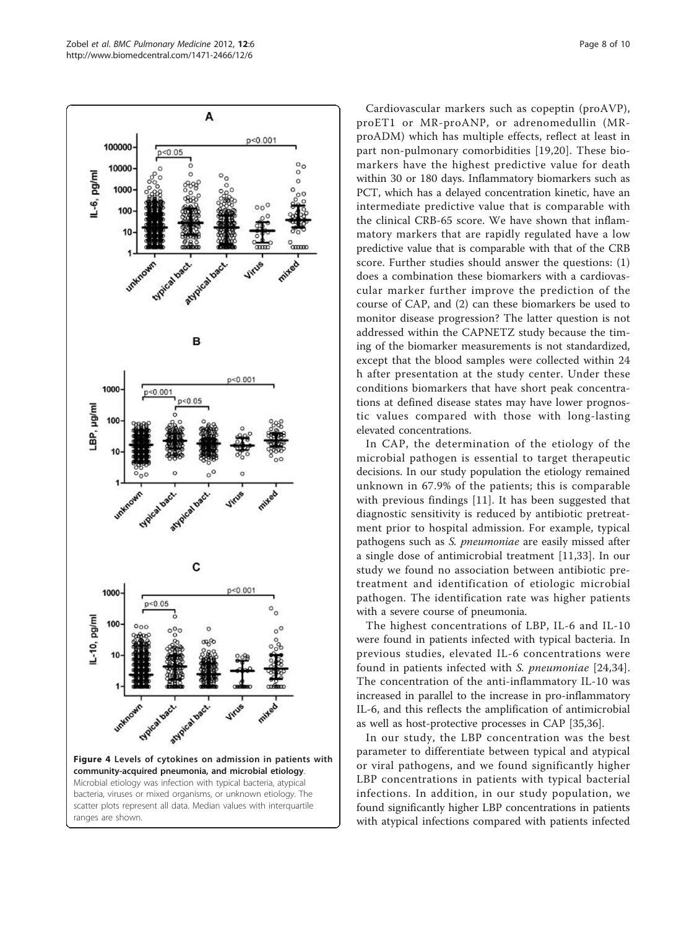<span id="page-7-0"></span>

bacteria, viruses or mixed organisms, or unknown etiology. The scatter plots represent all data. Median values with interquartile ranges are shown.

Cardiovascular markers such as copeptin (proAVP), proET1 or MR-proANP, or adrenomedullin (MRproADM) which has multiple effects, reflect at least in part non-pulmonary comorbidities [[19,](#page-8-0)[20](#page-9-0)]. These biomarkers have the highest predictive value for death within 30 or 180 days. Inflammatory biomarkers such as PCT, which has a delayed concentration kinetic, have an intermediate predictive value that is comparable with the clinical CRB-65 score. We have shown that inflammatory markers that are rapidly regulated have a low predictive value that is comparable with that of the CRB score. Further studies should answer the questions: (1) does a combination these biomarkers with a cardiovascular marker further improve the prediction of the course of CAP, and (2) can these biomarkers be used to monitor disease progression? The latter question is not addressed within the CAPNETZ study because the timing of the biomarker measurements is not standardized, except that the blood samples were collected within 24 h after presentation at the study center. Under these conditions biomarkers that have short peak concentrations at defined disease states may have lower prognostic values compared with those with long-lasting elevated concentrations.

In CAP, the determination of the etiology of the microbial pathogen is essential to target therapeutic decisions. In our study population the etiology remained unknown in 67.9% of the patients; this is comparable with previous findings [[11](#page-8-0)]. It has been suggested that diagnostic sensitivity is reduced by antibiotic pretreatment prior to hospital admission. For example, typical pathogens such as S. pneumoniae are easily missed after a single dose of antimicrobial treatment [[11,](#page-8-0)[33\]](#page-9-0). In our study we found no association between antibiotic pretreatment and identification of etiologic microbial pathogen. The identification rate was higher patients with a severe course of pneumonia.

The highest concentrations of LBP, IL-6 and IL-10 were found in patients infected with typical bacteria. In previous studies, elevated IL-6 concentrations were found in patients infected with S. pneumoniae [\[24,34](#page-9-0)]. The concentration of the anti-inflammatory IL-10 was increased in parallel to the increase in pro-inflammatory IL-6, and this reflects the amplification of antimicrobial as well as host-protective processes in CAP [[35](#page-9-0),[36](#page-9-0)].

In our study, the LBP concentration was the best parameter to differentiate between typical and atypical or viral pathogens, and we found significantly higher LBP concentrations in patients with typical bacterial infections. In addition, in our study population, we found significantly higher LBP concentrations in patients with atypical infections compared with patients infected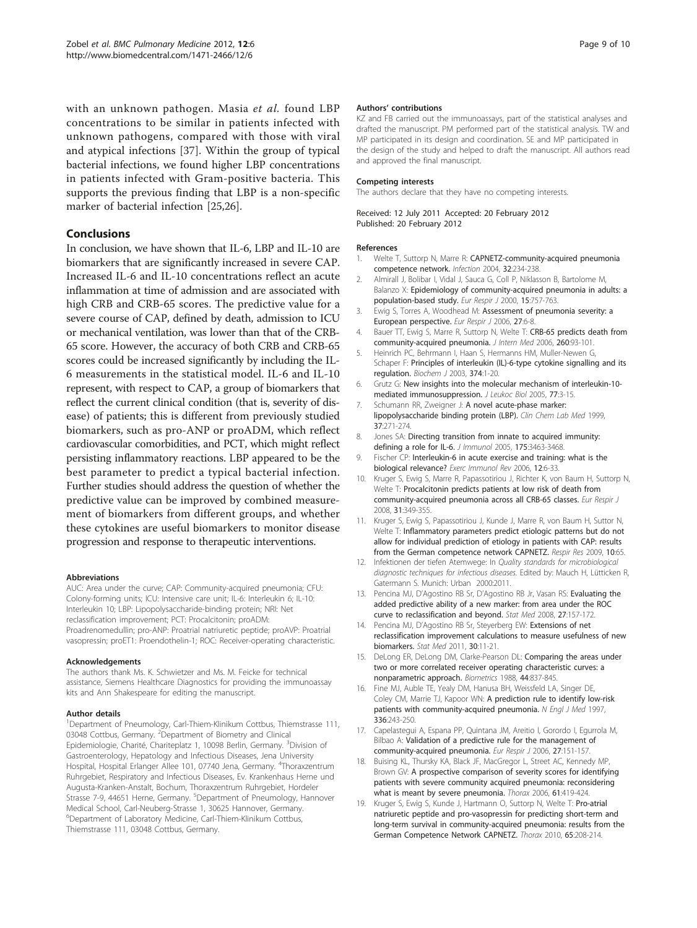<span id="page-8-0"></span>with an unknown pathogen. Masia et al. found LBP concentrations to be similar in patients infected with unknown pathogens, compared with those with viral and atypical infections [[37\]](#page-9-0). Within the group of typical bacterial infections, we found higher LBP concentrations in patients infected with Gram-positive bacteria. This supports the previous finding that LBP is a non-specific marker of bacterial infection [\[25,26\]](#page-9-0).

# Conclusions

In conclusion, we have shown that IL-6, LBP and IL-10 are biomarkers that are significantly increased in severe CAP. Increased IL-6 and IL-10 concentrations reflect an acute inflammation at time of admission and are associated with high CRB and CRB-65 scores. The predictive value for a severe course of CAP, defined by death, admission to ICU or mechanical ventilation, was lower than that of the CRB-65 score. However, the accuracy of both CRB and CRB-65 scores could be increased significantly by including the IL-6 measurements in the statistical model. IL-6 and IL-10 represent, with respect to CAP, a group of biomarkers that reflect the current clinical condition (that is, severity of disease) of patients; this is different from previously studied biomarkers, such as pro-ANP or proADM, which reflect cardiovascular comorbidities, and PCT, which might reflect persisting inflammatory reactions. LBP appeared to be the best parameter to predict a typical bacterial infection. Further studies should address the question of whether the predictive value can be improved by combined measurement of biomarkers from different groups, and whether these cytokines are useful biomarkers to monitor disease progression and response to therapeutic interventions.

## Abbreviations

AUC: Area under the curve; CAP: Community-acquired pneumonia; CFU: Colony-forming units; ICU: Intensive care unit; IL-6: Interleukin 6; IL-10: Interleukin 10; LBP: Lipopolysaccharide-binding protein; NRI: Net reclassification improvement; PCT: Procalcitonin; proADM: Proadrenomedullin; pro-ANP: Proatrial natriuretic peptide; proAVP: Proatrial vasopressin; proET1: Proendothelin-1; ROC: Receiver-operating characteristic.

#### Acknowledgements

The authors thank Ms. K. Schwietzer and Ms. M. Feicke for technical assistance, Siemens Healthcare Diagnostics for providing the immunoassay kits and Ann Shakespeare for editing the manuscript.

#### Author details

<sup>1</sup>Department of Pneumology, Carl-Thiem-Klinikum Cottbus, Thiemstrasse 111, 03048 Cottbus, Germany. <sup>2</sup>Department of Biometry and Clinical Epidemiologie, Charité, Chariteplatz 1, 10098 Berlin, Germany. <sup>3</sup>Division of Gastroenterology, Hepatology and Infectious Diseases, Jena University Hospital, Hospital Erlanger Allee 101, 07740 Jena, Germany. <sup>4</sup>Thoraxzentrum Ruhrgebiet, Respiratory and Infectious Diseases, Ev. Krankenhaus Herne und Augusta-Kranken-Anstalt, Bochum, Thoraxzentrum Ruhrgebiet, Hordeler Strasse 7-9, 44651 Herne, Germany. <sup>5</sup>Department of Pneumology, Hannover Medical School, Carl-Neuberg-Strasse 1, 30625 Hannover, Germany. 6 Department of Laboratory Medicine, Carl-Thiem-Klinikum Cottbus, Thiemstrasse 111, 03048 Cottbus, Germany.

### Authors' contributions

KZ and FB carried out the immunoassays, part of the statistical analyses and drafted the manuscript. PM performed part of the statistical analysis. TW and MP participated in its design and coordination. SE and MP participated in the design of the study and helped to draft the manuscript. All authors read and approved the final manuscript.

## Competing interests

The authors declare that they have no competing interests.

## Received: 12 July 2011 Accepted: 20 February 2012 Published: 20 February 2012

## References

- Welte T, Suttorp N, Marre R: [CAPNETZ-community-acquired pneumonia](http://www.ncbi.nlm.nih.gov/pubmed/15293080?dopt=Abstract) [competence network.](http://www.ncbi.nlm.nih.gov/pubmed/15293080?dopt=Abstract) Infection 2004, 32:234-238.
- 2. Almirall J, Bolibar I, Vidal J, Sauca G, Coll P, Niklasson B, Bartolome M, Balanzo X: [Epidemiology of community-acquired pneumonia in adults: a](http://www.ncbi.nlm.nih.gov/pubmed/10780770?dopt=Abstract) [population-based study.](http://www.ncbi.nlm.nih.gov/pubmed/10780770?dopt=Abstract) Eur Respir J 2000, 15:757-763.
- 3. Ewig S, Torres A, Woodhead M: [Assessment of pneumonia severity: a](http://www.ncbi.nlm.nih.gov/pubmed/16387928?dopt=Abstract) [European perspective.](http://www.ncbi.nlm.nih.gov/pubmed/16387928?dopt=Abstract) Eur Respir J 2006, 27:6-8.
- 4. Bauer TT, Ewig S, Marre R, Suttorp N, Welte T: [CRB-65 predicts death from](http://www.ncbi.nlm.nih.gov/pubmed/16789984?dopt=Abstract) [community-acquired pneumonia.](http://www.ncbi.nlm.nih.gov/pubmed/16789984?dopt=Abstract) J Intern Med 2006, 260:93-101.
- 5. Heinrich PC, Behrmann I, Haan S, Hermanns HM, Muller-Newen G, Schaper F: [Principles of interleukin \(IL\)-6-type cytokine signalling and its](http://www.ncbi.nlm.nih.gov/pubmed/12773095?dopt=Abstract) [regulation.](http://www.ncbi.nlm.nih.gov/pubmed/12773095?dopt=Abstract) Biochem J 2003, 374:1-20.
- 6. Grutz G: [New insights into the molecular mechanism of interleukin-10](http://www.ncbi.nlm.nih.gov/pubmed/15522916?dopt=Abstract) [mediated immunosuppression.](http://www.ncbi.nlm.nih.gov/pubmed/15522916?dopt=Abstract) J Leukoc Biol 2005, 77:3-15.
- 7. Schumann RR, Zweigner J: [A novel acute-phase marker:](http://www.ncbi.nlm.nih.gov/pubmed/10353471?dopt=Abstract) [lipopolysaccharide binding protein \(LBP\).](http://www.ncbi.nlm.nih.gov/pubmed/10353471?dopt=Abstract) Clin Chem Lab Med 1999, 37:271-274.
- 8. Jones SA: [Directing transition from innate to acquired immunity:](http://www.ncbi.nlm.nih.gov/pubmed/16148087?dopt=Abstract) [defining a role for IL-6.](http://www.ncbi.nlm.nih.gov/pubmed/16148087?dopt=Abstract) J Immunol 2005, 175:3463-3468.
- 9. Fischer CP: [Interleukin-6 in acute exercise and training: what is the](http://www.ncbi.nlm.nih.gov/pubmed/17201070?dopt=Abstract) [biological relevance?](http://www.ncbi.nlm.nih.gov/pubmed/17201070?dopt=Abstract) Exerc Immunol Rev 2006, 12:6-33.
- 10. Kruger S, Ewig S, Marre R, Papassotiriou J, Richter K, von Baum H, Suttorp N, Welte T: [Procalcitonin predicts patients at low risk of death from](http://www.ncbi.nlm.nih.gov/pubmed/17959641?dopt=Abstract) [community-acquired pneumonia across all CRB-65 classes.](http://www.ncbi.nlm.nih.gov/pubmed/17959641?dopt=Abstract) Eur Respir J 2008, 31:349-355.
- 11. Kruger S, Ewig S, Papassotiriou J, Kunde J, Marre R, von Baum H, Suttor N, Welte T: [Inflammatory parameters predict etiologic patterns but do not](http://www.ncbi.nlm.nih.gov/pubmed/19594893?dopt=Abstract) [allow for individual prediction of etiology in patients with CAP: results](http://www.ncbi.nlm.nih.gov/pubmed/19594893?dopt=Abstract) [from the German competence network CAPNETZ.](http://www.ncbi.nlm.nih.gov/pubmed/19594893?dopt=Abstract) Respir Res 2009, 10:65.
- 12. Infektionen der tiefen Atemwege: In Quality standards for microbiological diagnostic techniques for infectious diseases. Edited by: Mauch H, Lütticken R, Gatermann S. Munich: Urban 2000:2011.
- 13. Pencina MJ, D'Agostino RB Sr, D'Agostino RB Jr, Vasan RS: [Evaluating the](http://www.ncbi.nlm.nih.gov/pubmed/17569110?dopt=Abstract) [added predictive ability of a new marker: from area under the ROC](http://www.ncbi.nlm.nih.gov/pubmed/17569110?dopt=Abstract) [curve to reclassification and beyond.](http://www.ncbi.nlm.nih.gov/pubmed/17569110?dopt=Abstract) Stat Med 2008, 27:157-172.
- 14. Pencina MJ, D'Agostino RB Sr, Steyerberg EW: [Extensions](http://www.ncbi.nlm.nih.gov/pubmed/21204120?dopt=Abstract) of net [reclassification improvement calculations to measure usefulness of new](http://www.ncbi.nlm.nih.gov/pubmed/21204120?dopt=Abstract) [biomarkers.](http://www.ncbi.nlm.nih.gov/pubmed/21204120?dopt=Abstract) Stat Med 2011, 30:11-21.
- 15. DeLong ER, DeLong DM, Clarke-Pearson DL: [Comparing the areas under](http://www.ncbi.nlm.nih.gov/pubmed/3203132?dopt=Abstract) [two or more correlated receiver operating characteristic curves: a](http://www.ncbi.nlm.nih.gov/pubmed/3203132?dopt=Abstract) [nonparametric approach.](http://www.ncbi.nlm.nih.gov/pubmed/3203132?dopt=Abstract) Biometrics 1988, 44:837-845.
- 16. Fine MJ, Auble TE, Yealy DM, Hanusa BH, Weissfeld LA, Singer DE, Coley CM, Marrie TJ, Kapoor WN: [A prediction rule to identify low-risk](http://www.ncbi.nlm.nih.gov/pubmed/8995086?dopt=Abstract) [patients with community-acquired pneumonia.](http://www.ncbi.nlm.nih.gov/pubmed/8995086?dopt=Abstract) N Engl J Med 1997, 336:243-250.
- 17. Capelastegui A, Espana PP, Quintana JM, Areitio I, Gorordo I, Egurrola M, Bilbao A: [Validation of a predictive rule for the management of](http://www.ncbi.nlm.nih.gov/pubmed/16387948?dopt=Abstract) [community-acquired pneumonia.](http://www.ncbi.nlm.nih.gov/pubmed/16387948?dopt=Abstract) Eur Respir J 2006, 27:151-157.
- 18. Buising KL, Thursky KA, Black JF, MacGregor L, Street AC, Kennedy MP, Brown GV: [A prospective comparison of severity scores for identifying](http://www.ncbi.nlm.nih.gov/pubmed/16449258?dopt=Abstract) [patients with severe community acquired pneumonia: reconsidering](http://www.ncbi.nlm.nih.gov/pubmed/16449258?dopt=Abstract) [what is meant by severe pneumonia.](http://www.ncbi.nlm.nih.gov/pubmed/16449258?dopt=Abstract) Thorax 2006, 61:419-424.
- 19. Kruger S, Ewig S, Kunde J, Hartmann O, Suttorp N, Welte T: [Pro-atrial](http://www.ncbi.nlm.nih.gov/pubmed/20335288?dopt=Abstract) [natriuretic peptide and pro-vasopressin for predicting short-term and](http://www.ncbi.nlm.nih.gov/pubmed/20335288?dopt=Abstract) [long-term survival in community-acquired pneumonia: results from the](http://www.ncbi.nlm.nih.gov/pubmed/20335288?dopt=Abstract) [German Competence Network CAPNETZ.](http://www.ncbi.nlm.nih.gov/pubmed/20335288?dopt=Abstract) Thorax 2010, 65:208-214.